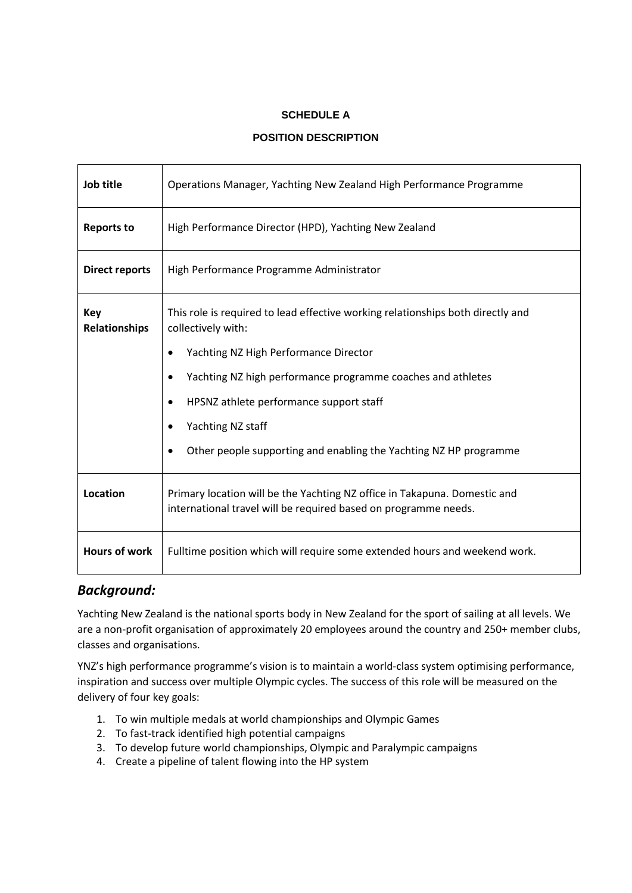#### **SCHEDULE A**

#### **POSITION DESCRIPTION**

| Job title                   | Operations Manager, Yachting New Zealand High Performance Programme                                                                          |  |  |  |
|-----------------------------|----------------------------------------------------------------------------------------------------------------------------------------------|--|--|--|
| <b>Reports to</b>           | High Performance Director (HPD), Yachting New Zealand                                                                                        |  |  |  |
| <b>Direct reports</b>       | High Performance Programme Administrator                                                                                                     |  |  |  |
| <b>Key</b><br>Relationships | This role is required to lead effective working relationships both directly and<br>collectively with:                                        |  |  |  |
|                             | Yachting NZ High Performance Director                                                                                                        |  |  |  |
|                             | Yachting NZ high performance programme coaches and athletes                                                                                  |  |  |  |
|                             | HPSNZ athlete performance support staff                                                                                                      |  |  |  |
|                             | Yachting NZ staff                                                                                                                            |  |  |  |
|                             | Other people supporting and enabling the Yachting NZ HP programme                                                                            |  |  |  |
| <b>Location</b>             | Primary location will be the Yachting NZ office in Takapuna. Domestic and<br>international travel will be required based on programme needs. |  |  |  |
| <b>Hours of work</b>        | Fulltime position which will require some extended hours and weekend work.                                                                   |  |  |  |

#### *Background:*

Yachting New Zealand is the national sports body in New Zealand for the sport of sailing at all levels. We are a non-profit organisation of approximately 20 employees around the country and 250+ member clubs, classes and organisations.

YNZ's high performance programme's vision is to maintain a world-class system optimising performance, inspiration and success over multiple Olympic cycles. The success of this role will be measured on the delivery of four key goals:

- 1. To win multiple medals at world championships and Olympic Games
- 2. To fast-track identified high potential campaigns
- 3. To develop future world championships, Olympic and Paralympic campaigns
- 4. Create a pipeline of talent flowing into the HP system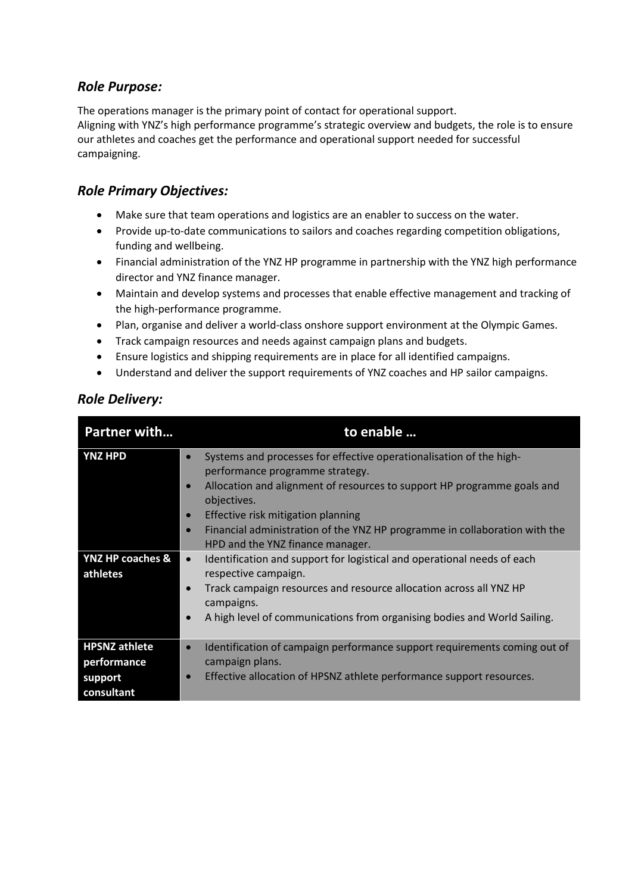### *Role Purpose:*

The operations manager is the primary point of contact for operational support. Aligning with YNZ's high performance programme's strategic overview and budgets, the role is to ensure our athletes and coaches get the performance and operational support needed for successful campaigning.

## *Role Primary Objectives:*

- Make sure that team operations and logistics are an enabler to success on the water.
- Provide up-to-date communications to sailors and coaches regarding competition obligations, funding and wellbeing.
- Financial administration of the YNZ HP programme in partnership with the YNZ high performance director and YNZ finance manager.
- Maintain and develop systems and processes that enable effective management and tracking of the high-performance programme.
- Plan, organise and deliver a world-class onshore support environment at the Olympic Games.
- Track campaign resources and needs against campaign plans and budgets.
- Ensure logistics and shipping requirements are in place for all identified campaigns.
- Understand and deliver the support requirements of YNZ coaches and HP sailor campaigns.

### *Role Delivery:*

| <b>Partner with</b>                                          | to enable                                                                                                                                                                                                                                                                                              |  |
|--------------------------------------------------------------|--------------------------------------------------------------------------------------------------------------------------------------------------------------------------------------------------------------------------------------------------------------------------------------------------------|--|
| <b>YNZ HPD</b>                                               | Systems and processes for effective operationalisation of the high-<br>$\bullet$<br>performance programme strategy.<br>Allocation and alignment of resources to support HP programme goals and<br>$\bullet$<br>objectives.<br>Effective risk mitigation planning<br>$\bullet$                          |  |
|                                                              | Financial administration of the YNZ HP programme in collaboration with the<br>$\bullet$<br>HPD and the YNZ finance manager.                                                                                                                                                                            |  |
| YNZ HP coaches &<br>athletes                                 | Identification and support for logistical and operational needs of each<br>$\bullet$<br>respective campaign.<br>Track campaign resources and resource allocation across all YNZ HP<br>$\bullet$<br>campaigns.<br>A high level of communications from organising bodies and World Sailing.<br>$\bullet$ |  |
| <b>HPSNZ</b> athlete<br>performance<br>support<br>consultant | Identification of campaign performance support requirements coming out of<br>$\bullet$<br>campaign plans.<br>Effective allocation of HPSNZ athlete performance support resources.<br>$\bullet$                                                                                                         |  |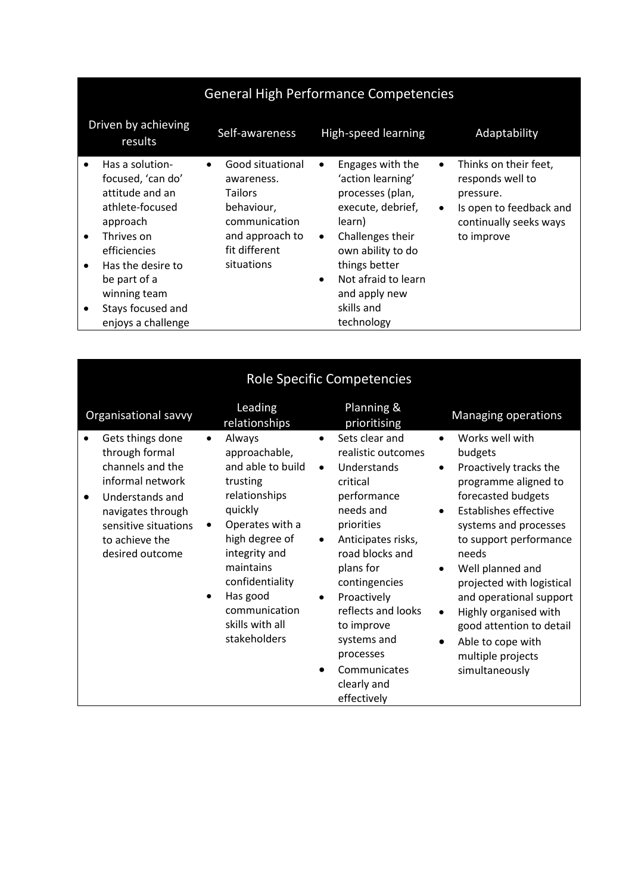|                                          | <b>General High Performance Competencies</b>                                                                                                                                                                         |                                                                                                                                                |                                                                                                                                                                                                                                                               |                                                                                                                                                     |  |  |
|------------------------------------------|----------------------------------------------------------------------------------------------------------------------------------------------------------------------------------------------------------------------|------------------------------------------------------------------------------------------------------------------------------------------------|---------------------------------------------------------------------------------------------------------------------------------------------------------------------------------------------------------------------------------------------------------------|-----------------------------------------------------------------------------------------------------------------------------------------------------|--|--|
|                                          | Driven by achieving<br>results                                                                                                                                                                                       | Self-awareness                                                                                                                                 | <b>High-speed learning</b>                                                                                                                                                                                                                                    | Adaptability                                                                                                                                        |  |  |
| $\bullet$<br>$\bullet$<br>$\bullet$<br>٠ | Has a solution-<br>focused, 'can do'<br>attitude and an<br>athlete-focused<br>approach<br>Thrives on<br>efficiencies<br>Has the desire to<br>be part of a<br>winning team<br>Stays focused and<br>enjoys a challenge | Good situational<br>$\bullet$<br>awareness.<br><b>Tailors</b><br>behaviour,<br>communication<br>and approach to<br>fit different<br>situations | Engages with the<br>$\bullet$<br>'action learning'<br>processes (plan,<br>execute, debrief,<br>learn)<br>Challenges their<br>$\bullet$<br>own ability to do<br>things better<br>Not afraid to learn<br>$\bullet$<br>and apply new<br>skills and<br>technology | Thinks on their feet,<br>$\bullet$<br>responds well to<br>pressure.<br>Is open to feedback and<br>$\bullet$<br>continually seeks ways<br>to improve |  |  |

| <b>Role Specific Competencies</b>                                                                                                                                                            |                                                                                                                                                                                                                                                         |                                                                                                                                                                                                                                                                                                                                                                   |                                                                                                                                                                                                                                                                                                                                                                                                                                              |  |  |  |
|----------------------------------------------------------------------------------------------------------------------------------------------------------------------------------------------|---------------------------------------------------------------------------------------------------------------------------------------------------------------------------------------------------------------------------------------------------------|-------------------------------------------------------------------------------------------------------------------------------------------------------------------------------------------------------------------------------------------------------------------------------------------------------------------------------------------------------------------|----------------------------------------------------------------------------------------------------------------------------------------------------------------------------------------------------------------------------------------------------------------------------------------------------------------------------------------------------------------------------------------------------------------------------------------------|--|--|--|
| Organisational savvy                                                                                                                                                                         | Leading<br>relationships                                                                                                                                                                                                                                | Planning &<br>prioritising                                                                                                                                                                                                                                                                                                                                        | Managing operations                                                                                                                                                                                                                                                                                                                                                                                                                          |  |  |  |
| Gets things done<br>through formal<br>channels and the<br>informal network<br>Understands and<br>$\bullet$<br>navigates through<br>sensitive situations<br>to achieve the<br>desired outcome | Always<br>approachable,<br>and able to build<br>trusting<br>relationships<br>quickly<br>Operates with a<br>$\bullet$<br>high degree of<br>integrity and<br>maintains<br>confidentiality<br>Has good<br>communication<br>skills with all<br>stakeholders | Sets clear and<br>$\bullet$<br>realistic outcomes<br>Understands<br>$\bullet$<br>critical<br>performance<br>needs and<br>priorities<br>Anticipates risks,<br>$\bullet$<br>road blocks and<br>plans for<br>contingencies<br>Proactively<br>$\bullet$<br>reflects and looks<br>to improve<br>systems and<br>processes<br>Communicates<br>clearly and<br>effectively | Works well with<br>budgets<br>Proactively tracks the<br>$\bullet$<br>programme aligned to<br>forecasted budgets<br><b>Establishes effective</b><br>$\bullet$<br>systems and processes<br>to support performance<br>needs<br>Well planned and<br>٠<br>projected with logistical<br>and operational support<br>Highly organised with<br>$\bullet$<br>good attention to detail<br>Able to cope with<br>٠<br>multiple projects<br>simultaneously |  |  |  |